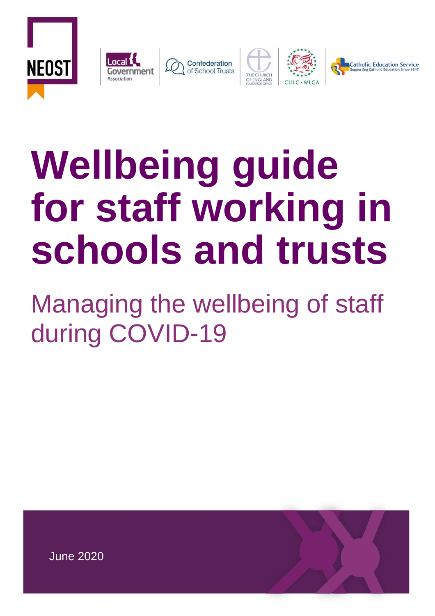









# **Wellbeing guide for staff working in schools and trusts**

Managing the wellbeing of staff during COVID-19

18 Smith Square, London, SW1P 3HZ [www.local.gov.uk](http://www.local.gov.uk/) **Telephone** 020 7664 3000 **Email** [info@local.gov.uk](mailto:info@local.gov.uk) **Chief Executive:** Mark Lloyd Local Government Association company number 11177145 Improvement and Development Agency for Local Government company number 03675577

June 2020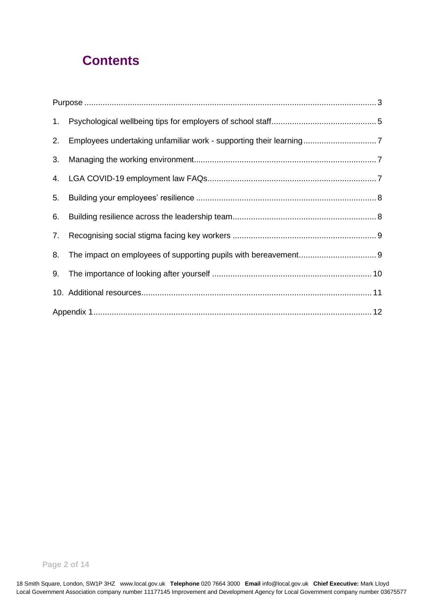# **Contents**

| 1. |  |
|----|--|
| 2. |  |
| 3. |  |
|    |  |
| 5. |  |
| 6. |  |
| 7. |  |
| 8. |  |
| 9. |  |
|    |  |
|    |  |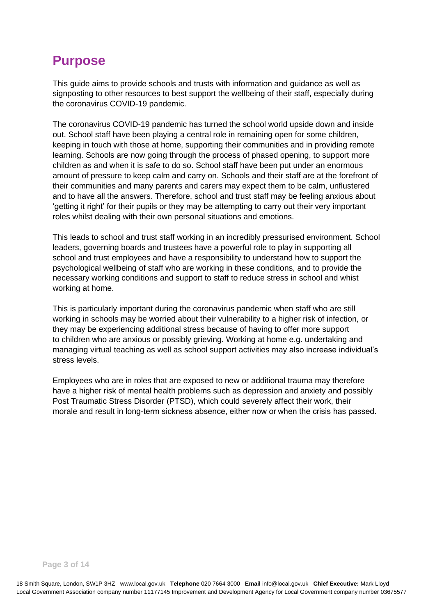# <span id="page-2-0"></span>**Purpose**

This guide aims to provide schools and trusts with information and guidance as well as signposting to other resources to best support the wellbeing of their staff, especially during the coronavirus COVID-19 pandemic.

The coronavirus COVID-19 pandemic has turned the school world upside down and inside out. School staff have been playing a central role in remaining open for some children, keeping in touch with those at home, supporting their communities and in providing remote learning. Schools are now going through the process of phased opening, to support more children as and when it is safe to do so. School staff have been put under an enormous amount of pressure to keep calm and carry on. Schools and their staff are at the forefront of their communities and many parents and carers may expect them to be calm, unflustered and to have all the answers. Therefore, school and trust staff may be feeling anxious about 'getting it right' for their pupils or they may be attempting to carry out their very important roles whilst dealing with their own personal situations and emotions.

This leads to school and trust staff working in an incredibly pressurised environment. School leaders, governing boards and trustees have a powerful role to play in supporting all school and trust employees and have a responsibility to understand how to support the psychological wellbeing of staff who are working in these conditions, and to provide the necessary working conditions and support to staff to reduce stress in school and whist working at home.

This is particularly important during the coronavirus pandemic when staff who are still working in schools may be worried about their vulnerability to a higher risk of infection, or they may be experiencing additional stress because of having to offer more support to children who are anxious or possibly grieving. Working at home e.g. undertaking and managing virtual teaching as well as school support activities may also increase individual's stress levels.

Employees who are in roles that are exposed to new or additional trauma may therefore have a higher risk of mental health problems such as depression and anxiety and possibly Post Traumatic Stress Disorder (PTSD), which could severely affect their work, their morale and result in long-term sickness absence, either now or when the crisis has passed.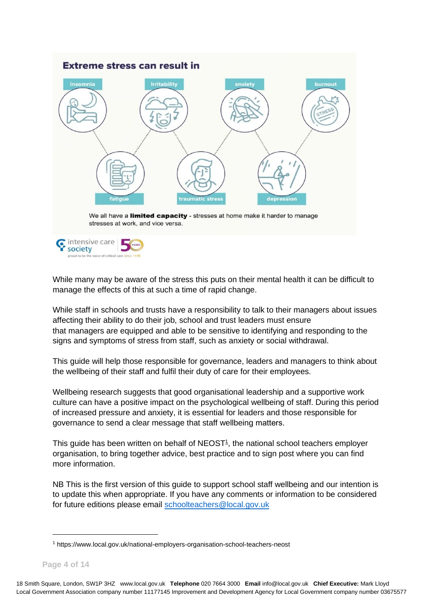

While many may be aware of the stress this puts on their mental health it can be difficult to manage the effects of this at such a time of rapid change.

While staff in schools and trusts have a responsibility to talk to their managers about issues affecting their ability to do their job, school and trust leaders must ensure that managers are equipped and able to be sensitive to identifying and responding to the signs and symptoms of stress from staff, such as anxiety or social withdrawal.

This guide will help those responsible for governance, leaders and managers to think about the wellbeing of their staff and fulfil their duty of care for their employees.

Wellbeing research suggests that good organisational leadership and a supportive work culture can have a positive impact on the psychological wellbeing of staff. During this period of increased pressure and anxiety, it is essential for leaders and those responsible for governance to send a clear message that staff wellbeing matters. 

This guide has been written on behalf of  $NEOST<sup>1</sup>$ , the national school teachers employer organisation, to bring together advice, best practice and to sign post where you can find more information.

NB This is the first version of this guide to support school staff wellbeing and our intention is to update this when appropriate. If you have any comments or information to be considered for future editions please email [schoolteachers@local.gov.uk](mailto:schoolteachers@local.gov.uk)

<sup>1</sup> https://www.local.gov.uk/national-employers-organisation-school-teachers-neost

**Page 4 of 14**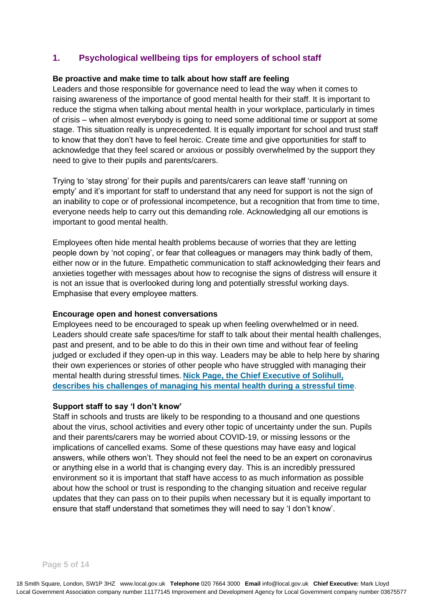# <span id="page-4-0"></span>**1. Psychological wellbeing tips for employers of school staff**

#### **[Be proactive and make time to talk about how staff are feeling](https://local.gov.uk/our-support/workforce-and-hr-support/wellbeing/wellbeing-front-line-staff)**

Leaders and those responsible for governance need to lead the way when it comes to raising awareness of the importance of good mental health for their staff. It is important to reduce the stigma when talking about mental health in your workplace, particularly in times of crisis – when almost everybody is going to need some additional time or support at some stage. This situation really is unprecedented. It is equally important for school and trust staff to know that they don't have to feel heroic. Create time and give opportunities for staff to acknowledge that they feel scared or anxious or possibly overwhelmed by the support they need to give to their pupils and parents/carers.

Trying to 'stay strong' for their pupils and parents/carers can leave staff 'running on empty' and it's important for staff to understand that any need for support is not the sign of an inability to cope or of professional incompetence, but a recognition that from time to time, everyone needs help to carry out this demanding role. Acknowledging all our emotions is important to good mental health.

Employees often hide mental health problems because of worries that they are letting people down by 'not coping', or fear that colleagues or managers may think badly of them, either now or in the future. Empathetic communication to staff acknowledging their fears and anxieties together with messages about how to recognise the signs of distress will ensure it is not an issue that is overlooked during long and potentially stressful working days. Emphasise that every employee matters. 

#### **[Encourage open and honest conversations](https://local.gov.uk/our-support/workforce-and-hr-support/wellbeing/wellbeing-front-line-staff)**

Employees need to be encouraged to speak up when feeling overwhelmed or in need. Leaders should create safe spaces/time for staff to talk about their mental health challenges, past and present, and to be able to do this in their own time and without fear of feeling judged or excluded if they open-up in this way. Leaders may be able to help here by sharing their own experiences or stories of other people who have struggled with managing their mental health during stressful times. **[Nick Page, the Chief Executive of Solihull,](https://www.local.gov.uk/our-support/workforce-and-hr-support/workforce-videos/my-life-chief-executive-mental-health-issues)  [describes his challenges of managing his mental health during a stressful time](https://www.local.gov.uk/our-support/workforce-and-hr-support/workforce-videos/my-life-chief-executive-mental-health-issues)**.

#### **Support staff to say 'I don't know'**

Staff in schools and trusts are likely to be responding to a thousand and one questions about the virus, school activities and every other topic of uncertainty under the sun. Pupils and their parents/carers may be worried about COVID-19, or missing lessons or the implications of cancelled exams. Some of these questions may have easy and logical answers, while others won't. They should not feel the need to be an expert on coronavirus or anything else in a world that is changing every day. This is an incredibly pressured environment so it is important that staff have access to as much information as possible about how the school or trust is responding to the changing situation and receive regular updates that they can pass on to their pupils when necessary but it is equally important to ensure that staff understand that sometimes they will need to say 'I don't know'.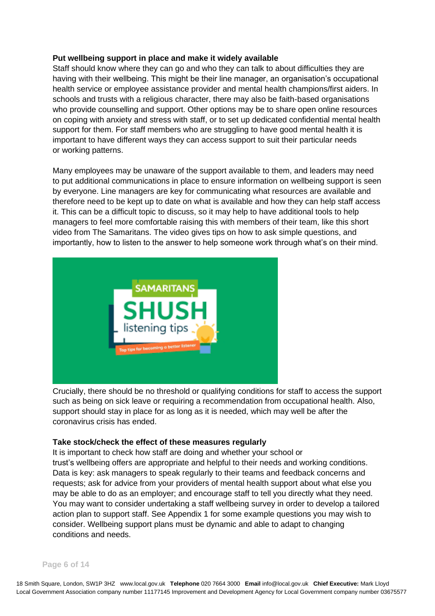#### **Put wellbeing support in place and [make it widely available](https://local.gov.uk/our-support/workforce-and-hr-support/wellbeing/wellbeing-front-line-staff)**

Staff should know where they can go and who they can talk to about difficulties they are having with their wellbeing. This might be their line manager, an organisation's occupational health service or employee assistance provider and mental health champions/first aiders. In schools and trusts with a religious character, there may also be faith-based organisations who provide counselling and support. Other options may be to share open online resources on coping with anxiety and stress with staff, or to set up dedicated confidential mental health support for them. For staff members who are struggling to have good mental health it is important to have different ways they can access support to suit their particular needs or working patterns.

Many employees may be unaware of the support available to them, and leaders may need to put additional communications in place to ensure information on wellbeing support is seen by everyone. Line managers are key for communicating what resources are available and therefore need to be kept up to date on what is available and how they can help staff access it. This can be a difficult topic to discuss, so it may help to have additional tools to help managers to feel more comfortable raising this with members of their team, like this short video from The Samaritans. The video gives tips on how to ask simple questions, and importantly, how to listen to the answer to help someone work through what's on their mind.



Crucially, there should be no threshold or qualifying conditions for staff to access the support such as being on sick leave or requiring a recommendation from occupational health. Also, support should stay in place for as long as it is needed, which may well be after the coronavirus crisis has ended.

#### **[Take stock/check the effect of these measures regularly](https://local.gov.uk/our-support/workforce-and-hr-support/wellbeing/wellbeing-front-line-staff)**

It is important to check how staff are doing and whether your school or trust's wellbeing offers are appropriate and helpful to their needs and working conditions. Data is key: ask managers to speak regularly to their teams and feedback concerns and requests; ask for advice from your providers of mental health support about what else you may be able to do as an employer; and encourage staff to tell you directly what they need. You may want to consider undertaking a staff wellbeing survey in order to develop a tailored action plan to support staff. See Appendix 1 for some example questions you may wish to consider. Wellbeing support plans must be dynamic and able to adapt to changing conditions and needs.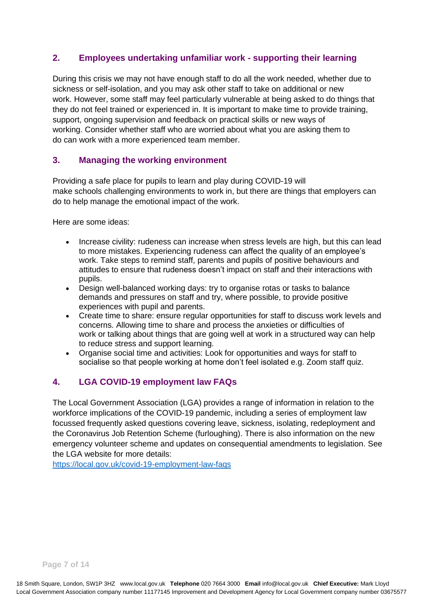# <span id="page-6-0"></span>**2. Employees undertaking unfamiliar work - supporting their learning**

During this crisis we may not have enough staff to do all the work needed, whether due to sickness or self-isolation, and you may ask other staff to take on additional or new work. However, some staff may feel particularly vulnerable at being asked to do things that they do not feel trained or experienced in. It is important to make time to provide training, support, ongoing supervision and feedback on practical skills or new ways of working. Consider whether staff who are worried about what you are asking them to do can work with a more experienced team member.

# <span id="page-6-1"></span>**3. Managing the working environment**

Providing a safe place for pupils to learn and play during COVID-19 will make schools challenging environments to work in, but there are things that employers can do to help manage the emotional impact of the work.

Here are some ideas:

- Increase civility: rudeness can increase when stress levels are high, but this can lead to more mistakes. Experiencing rudeness can affect the quality of an employee's work. Take steps to remind staff, parents and pupils of positive behaviours and attitudes to ensure that rudeness doesn't impact on staff and their interactions with pupils.
- Design well-balanced working days: try to organise rotas or tasks to balance demands and pressures on staff and try, where possible, to provide positive experiences with pupil and parents.
- Create time to share: ensure regular opportunities for staff to discuss work levels and concerns. Allowing time to share and process the anxieties or difficulties of work or talking about things that are going well at work in a structured way can help to reduce stress and support learning.
- Organise social time and activities: Look for opportunities and ways for staff to socialise so that people working at home don't feel isolated e.g. Zoom staff quiz.

## <span id="page-6-2"></span>**4. LGA COVID-19 employment law FAQs**

The Local Government Association (LGA) provides a range of information in relation to the workforce implications of the COVID-19 pandemic, including a series of employment law focussed frequently asked questions covering leave, sickness, isolating, redeployment and the Coronavirus Job Retention Scheme (furloughing). There is also information on the new emergency volunteer scheme and updates on consequential amendments to legislation. See the LGA website for more details:

<https://local.gov.uk/covid-19-employment-law-faqs>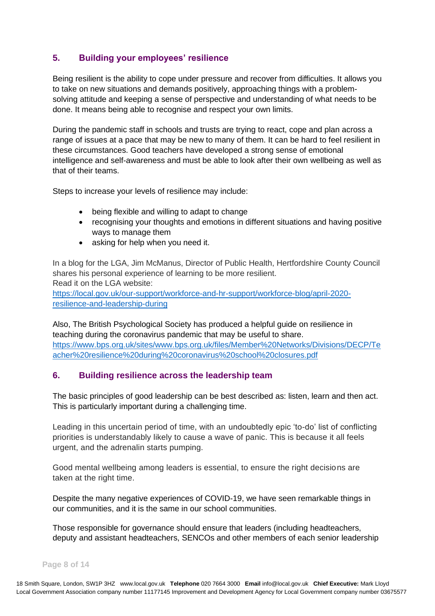# <span id="page-7-0"></span>**5. Building your employees' resilience**

Being resilient is the ability to cope under pressure and recover from difficulties. It allows you to take on new situations and demands positively, approaching things with a problemsolving attitude and keeping a sense of perspective and understanding of what needs to be done. It means being able to recognise and respect your own limits.

During the pandemic staff in schools and trusts are trying to react, cope and plan across a range of issues at a pace that may be new to many of them. It can be hard to feel resilient in these circumstances. Good teachers have developed a strong sense of emotional intelligence and self-awareness and must be able to look after their own wellbeing as well as that of their teams.

Steps to increase your levels of resilience may include:

- being flexible and willing to adapt to change
- recognising your thoughts and emotions in different situations and having positive ways to manage them
- asking for help when you need it.

In a blog for the LGA, Jim McManus, Director of Public Health, Hertfordshire County Council shares his personal experience of learning to be more resilient. Read it on the LGA website:

[https://local.gov.uk/our-support/workforce-and-hr-support/workforce-blog/april-2020](https://local.gov.uk/our-support/workforce-and-hr-support/workforce-blog/april-2020-resilience-and-leadership-during) [resilience-and-leadership-during](https://local.gov.uk/our-support/workforce-and-hr-support/workforce-blog/april-2020-resilience-and-leadership-during)

Also, The British Psychological Society has produced a helpful guide on resilience in teaching during the coronavirus pandemic that may be useful to share. [https://www.bps.org.uk/sites/www.bps.org.uk/files/Member%20Networks/Divisions/DECP/Te](https://www.bps.org.uk/sites/www.bps.org.uk/files/Member%20Networks/Divisions/DECP/Teacher%20resilience%20during%20coronavirus%20school%20closures.pdf) [acher%20resilience%20during%20coronavirus%20school%20closures.pdf](https://www.bps.org.uk/sites/www.bps.org.uk/files/Member%20Networks/Divisions/DECP/Teacher%20resilience%20during%20coronavirus%20school%20closures.pdf)

## <span id="page-7-1"></span>**6. Building resilience across the leadership team**

The basic principles of good leadership can be best described as: listen, learn and then act. This is particularly important during a challenging time.

Leading in this uncertain period of time, with an undoubtedly epic 'to-do' list of conflicting priorities is understandably likely to cause a wave of panic. This is because it all feels urgent, and the adrenalin starts pumping.

Good mental wellbeing among leaders is essential, to ensure the right decisions are taken at the right time.

Despite the many negative experiences of COVID-19, we have seen remarkable things in our communities, and it is the same in our school communities.

Those responsible for governance should ensure that leaders (including headteachers, deputy and assistant headteachers, SENCOs and other members of each senior leadership

#### **Page 8 of 14**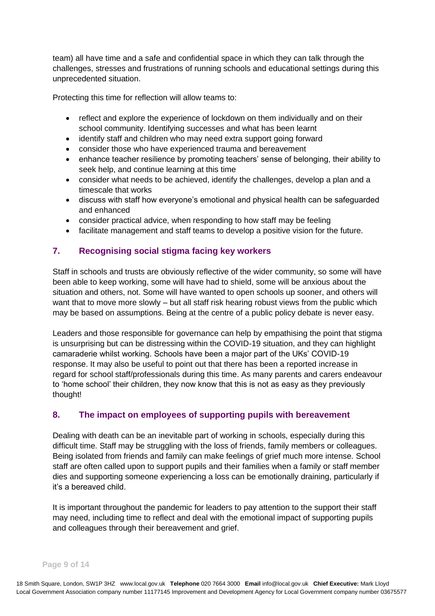team) all have time and a safe and confidential space in which they can talk through the challenges, stresses and frustrations of running schools and educational settings during this unprecedented situation.

Protecting this time for reflection will allow teams to:

- reflect and explore the experience of lockdown on them individually and on their school community. Identifying successes and what has been learnt
- identify staff and children who may need extra support going forward
- consider those who have experienced trauma and bereavement
- enhance teacher resilience by promoting teachers' sense of belonging, their ability to seek help, and continue learning at this time
- consider what needs to be achieved, identify the challenges, develop a plan and a timescale that works
- discuss with staff how everyone's emotional and physical health can be safeguarded and enhanced
- consider practical advice, when responding to how staff may be feeling
- facilitate management and staff teams to develop a positive vision for the future.

## <span id="page-8-0"></span>**7. Recognising social stigma facing key workers**

Staff in schools and trusts are obviously reflective of the wider community, so some will have been able to keep working, some will have had to shield, some will be anxious about the situation and others, not. Some will have wanted to open schools up sooner, and others will want that to move more slowly – but all staff risk hearing robust views from the public which may be based on assumptions. Being at the centre of a public policy debate is never easy.

Leaders and those responsible for governance can help by empathising the point that stigma is unsurprising but can be distressing within the COVID-19 situation, and they can highlight camaraderie whilst working. Schools have been a major part of the UKs' COVID-19 response. It may also be useful to point out that there has been a reported increase in regard for school staff/professionals during this time. As many parents and carers endeavour to 'home school' their children, they now know that this is not as easy as they previously thought!

## <span id="page-8-1"></span>**8. The impact on employees of supporting pupils with bereavement**

Dealing with death can be an inevitable part of working in schools, especially during this difficult time. Staff may be struggling with the loss of friends, family members or colleagues. Being isolated from friends and family can make feelings of grief much more intense. School staff are often called upon to support pupils and their families when a family or staff member dies and supporting someone experiencing a loss can be emotionally draining, particularly if it's a bereaved child.

It is important throughout the pandemic for leaders to pay attention to the support their staff may need, including time to reflect and deal with the emotional impact of supporting pupils and colleagues through their bereavement and grief.

#### **Page 9 of 14**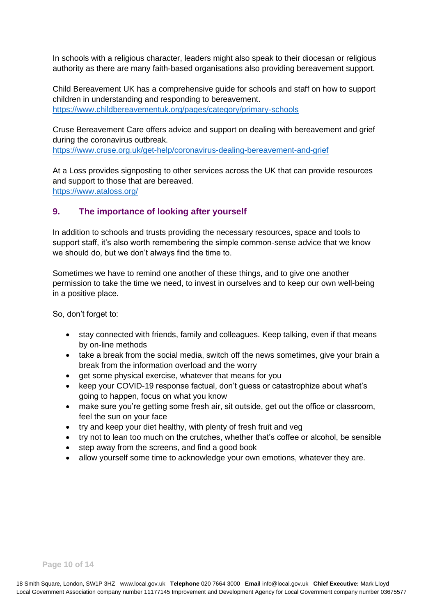In schools with a religious character, leaders might also speak to their diocesan or religious authority as there are many faith-based organisations also providing bereavement support.

Child Bereavement UK has a comprehensive guide for schools and staff on how to support children in understanding and responding to bereavement. <https://www.childbereavementuk.org/pages/category/primary-schools>

[Cruse Bereavement Care](https://www.cruse.org.uk/get-help/coronavirus-dealing-bereavement-and-grief) offers advice and support on dealing with bereavement and grief during the coronavirus outbreak.

<https://www.cruse.org.uk/get-help/coronavirus-dealing-bereavement-and-grief>

[At a Loss](https://www.ataloss.org/) provides signposting to other services across the UK that can provide resources and support to those that are bereaved. <https://www.ataloss.org/>

## <span id="page-9-0"></span>**9. The importance of looking after yourself**

In addition to schools and trusts providing the necessary resources, space and tools to support staff, it's also worth remembering the simple common-sense advice that we know we should do, but we don't always find the time to.

Sometimes we have to remind one another of these things, and to give one another permission to take the time we need, to invest in ourselves and to keep our own well-being in a positive place.

So, don't forget to:

- stay connected with friends, family and colleagues. Keep talking, even if that means by on-line methods
- take a break from the social media, switch off the news sometimes, give your brain a break from the information overload and the worry
- get some physical exercise, whatever that means for you
- keep your COVID-19 response factual, don't guess or catastrophize about what's going to happen, focus on what you know
- make sure you're getting some fresh air, sit outside, get out the office or classroom, feel the sun on your face
- try and keep your diet healthy, with plenty of fresh fruit and veg
- try not to lean too much on the crutches, whether that's coffee or alcohol, be sensible
- step away from the screens, and find a good book
- allow yourself some time to acknowledge your own emotions, whatever they are.

**Page 10 of 14**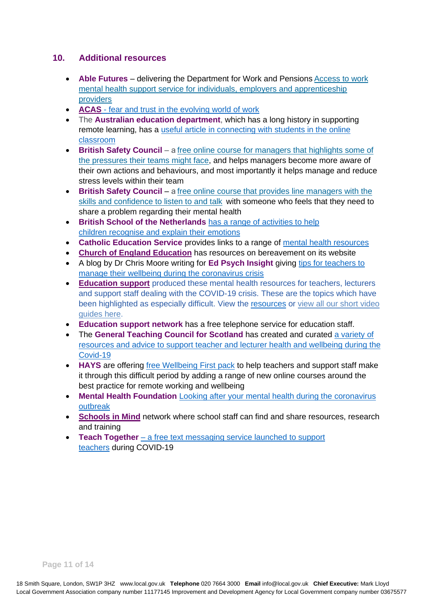#### <span id="page-10-0"></span>**10. Additional resources**

- **Able Futures** delivering the Department for Work and Pensions [Access to work](https://able-futures.co.uk/)  [mental health support service for individuals, employers and apprenticeship](https://able-futures.co.uk/)  [providers](https://able-futures.co.uk/)
- **ACAS** [fear and trust in the evolving world of work](http://www.acas.org.uk/fear-and-trust-in-the-evolving-world-of-work)
- The **Australian education department**, which has a long history in supporting remote learning, has a useful article in connecting with students in the online [classroom](https://schools.au.reachout.com/articles/connecting-with-students-in-the-online-classroom)
- **British Safety Council** a free online course for managers [that highlights some of](https://www.britsafe.org/about-us/managing-stress-within-your-team-course/)  [the pressures their teams might face,](https://www.britsafe.org/about-us/managing-stress-within-your-team-course/) and helps managers become more aware of their own actions and behaviours, and most importantly it helps manage and reduce stress levels within their team
- **British Safety Council** [a free online course that provides line managers with the](https://www.britsafe.org/about-us/managing-mental-health-course/)  [skills and confidence to listen to and talk](https://www.britsafe.org/about-us/managing-mental-health-course/) with someone who feels that they need to share a problem regarding their mental health
- **British School of the Netherlands** has a range of [activities to help](https://voices.britishschool.nl/expertvoices/2020/04/08/activities-to-help-children-recognise-and-explain-their-emotions/)  children recognise [and explain their emotions](https://voices.britishschool.nl/expertvoices/2020/04/08/activities-to-help-children-recognise-and-explain-their-emotions/)
- **Catholic Education Service** provides links to a range of [mental health resources](http://catholiceducation.org.uk/schools/mental-health-resources)
- **[Church of England Education](https://protect-eu.mimecast.com/s/Wk77CvgJLcW2XWWhXBM3p)** has resources on bereavement on its website
- A blog by Dr Chris Moore writing for Ed Psych Insight giving tips for teachers to manage their wellbeing [during the coronavirus crisis](https://www.epinsight.com/post/managing-stress-self-care-during-the-coronavirus-crisis)
- **[Education](https://www.educationsupport.org.uk/helping-you/telephone-support-counselling) support** produced these mental health resources for teachers, lecturers and support staff dealing with the COVID-19 crisis. These are the topics which have been highlighted as especially difficult. View the [resources](https://www.educationsupport.org.uk/coronavirus-support) or [view all our short video](https://www.educationsupport.org.uk/resources?f%25255B0%25255D=field_type%3A278&f%255B0%255D=field_type%3A278&f%5B0%5D=field_type%3A278)  [guides here.](https://www.educationsupport.org.uk/resources?f%25255B0%25255D=field_type%3A278&f%255B0%255D=field_type%3A278&f%5B0%5D=field_type%3A278)
- **Education support network** has a free telephone service for education staff.
- The **General Teaching Council for Scotland** has created and curated [a variety of](https://gtcsnew.gtcs.org.uk/News/news/health-wellbeing.aspx)  [resources and advice to support teacher and lecturer health and](https://gtcsnew.gtcs.org.uk/News/news/health-wellbeing.aspx) wellbeing during the [Covid-19](https://gtcsnew.gtcs.org.uk/News/news/health-wellbeing.aspx)
- **HAYS** are offering [free Wellbeing First pack](https://educationtraining.hays.co.uk/wellbeing-first/) to help teachers and support staff make it through this difficult period by adding a range of new online courses around the best practice for remote working and wellbeing
- **Mental Health Foundation** [Looking after your mental health during the coronavirus](https://www.mentalhealth.org.uk/publications/looking-after-your-mental-health-during-coronavirus-outbreak)  [outbreak](https://www.mentalhealth.org.uk/publications/looking-after-your-mental-health-during-coronavirus-outbreak)
- **[Schools in Mind](https://protect-eu.mimecast.com/s/zkngCMjYLt6qYkVSJPoXD?domain=annafreud.org)** network where school staff can find and share resources, research and training
- **Teach Together** [a free text messaging service launched to support](https://chartered.college/2020/03/26/teachtogether-2/)  [teachers](https://chartered.college/2020/03/26/teachtogether-2/) during COVID-19

**Page 11 of 14**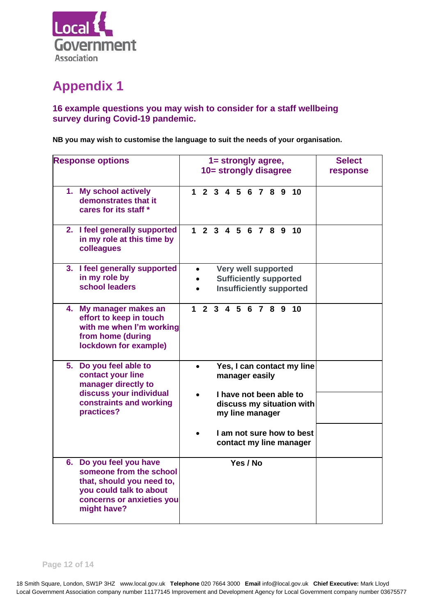

# <span id="page-11-0"></span>**Appendix 1**

## **16 example questions you may wish to consider for a staff wellbeing survey during Covid-19 pandemic.**

**NB you may wish to customise the language to suit the needs of your organisation.**  

| <b>Response options</b> |                                                                                                                                                        | 1= strongly agree,<br>10= strongly disagree                                             | <b>Select</b><br>response |
|-------------------------|--------------------------------------------------------------------------------------------------------------------------------------------------------|-----------------------------------------------------------------------------------------|---------------------------|
|                         | 1. My school actively<br>demonstrates that it<br>cares for its staff *                                                                                 | 1 2 3 4 5 6 7 8 9 10                                                                    |                           |
|                         | 2. I feel generally supported<br>in my role at this time by<br>colleagues                                                                              | 1 2 3 4 5 6 7 8 9 10                                                                    |                           |
|                         | 3. I feel generally supported<br>in my role by<br>school leaders                                                                                       | Very well supported<br><b>Sufficiently supported</b><br><b>Insufficiently supported</b> |                           |
|                         | 4. My manager makes an<br>effort to keep in touch<br>with me when I'm working<br>from home (during<br>lockdown for example)                            | 1 2 3 4 5 6 7 8 9 10                                                                    |                           |
|                         | 5. Do you feel able to<br>contact your line<br>manager directly to                                                                                     | Yes, I can contact my line<br>manager easily                                            |                           |
|                         | discuss your individual<br>constraints and working<br>practices?                                                                                       | I have not been able to<br>discuss my situation with<br>my line manager                 |                           |
|                         |                                                                                                                                                        | I am not sure how to best<br>contact my line manager                                    |                           |
|                         | 6. Do you feel you have<br>someone from the school<br>that, should you need to,<br>you could talk to about<br>concerns or anxieties you<br>might have? | Yes / No                                                                                |                           |

**Page 12 of 14**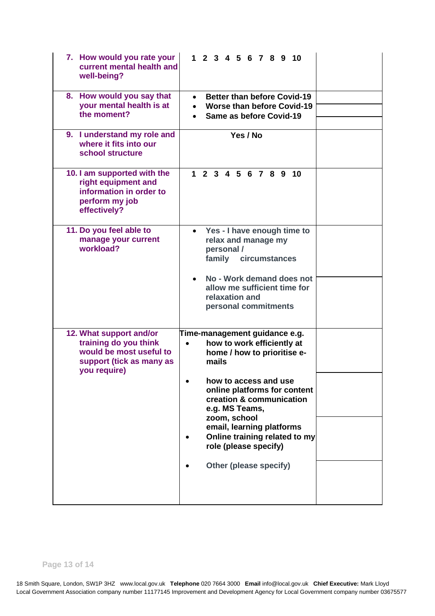| 8. How would you say that<br><b>Better than before Covid-19</b><br>$\bullet$<br>your mental health is at<br>• Worse than before Covid-19<br>the moment?<br>Same as before Covid-19<br>9. I understand my role and<br>Yes / No<br>where it fits into our<br>school structure<br>10. I am supported with the<br>1 2 3 4 5 6 7 8 9<br>10<br>right equipment and<br>information in order to<br>perform my job<br>effectively?<br>11. Do you feel able to<br>Yes - I have enough time to<br>$\bullet$<br>manage your current<br>relax and manage my<br>workload?<br>personal /<br>family circumstances<br>No - Work demand does not<br>allow me sufficient time for<br>relaxation and<br>personal commitments<br>12. What support and/or<br>Time-management guidance e.g.<br>training do you think<br>how to work efficiently at<br>$\bullet$<br>would be most useful to<br>home / how to prioritise e-<br>support (tick as many as<br>mails<br>you require)<br>how to access and use<br>online platforms for content<br>creation & communication<br>e.g. MS Teams,<br>zoom, school<br>email, learning platforms<br>Online training related to my | 7. How would you rate your<br>current mental health and<br>well-being? | 1 2 3 4 5 6 7 8 9 10 |  |
|----------------------------------------------------------------------------------------------------------------------------------------------------------------------------------------------------------------------------------------------------------------------------------------------------------------------------------------------------------------------------------------------------------------------------------------------------------------------------------------------------------------------------------------------------------------------------------------------------------------------------------------------------------------------------------------------------------------------------------------------------------------------------------------------------------------------------------------------------------------------------------------------------------------------------------------------------------------------------------------------------------------------------------------------------------------------------------------------------------------------------------------------|------------------------------------------------------------------------|----------------------|--|
|                                                                                                                                                                                                                                                                                                                                                                                                                                                                                                                                                                                                                                                                                                                                                                                                                                                                                                                                                                                                                                                                                                                                              |                                                                        |                      |  |
|                                                                                                                                                                                                                                                                                                                                                                                                                                                                                                                                                                                                                                                                                                                                                                                                                                                                                                                                                                                                                                                                                                                                              |                                                                        |                      |  |
|                                                                                                                                                                                                                                                                                                                                                                                                                                                                                                                                                                                                                                                                                                                                                                                                                                                                                                                                                                                                                                                                                                                                              |                                                                        |                      |  |
|                                                                                                                                                                                                                                                                                                                                                                                                                                                                                                                                                                                                                                                                                                                                                                                                                                                                                                                                                                                                                                                                                                                                              |                                                                        |                      |  |
|                                                                                                                                                                                                                                                                                                                                                                                                                                                                                                                                                                                                                                                                                                                                                                                                                                                                                                                                                                                                                                                                                                                                              |                                                                        |                      |  |
|                                                                                                                                                                                                                                                                                                                                                                                                                                                                                                                                                                                                                                                                                                                                                                                                                                                                                                                                                                                                                                                                                                                                              |                                                                        |                      |  |
| role (please specify)<br>Other (please specify)                                                                                                                                                                                                                                                                                                                                                                                                                                                                                                                                                                                                                                                                                                                                                                                                                                                                                                                                                                                                                                                                                              |                                                                        |                      |  |